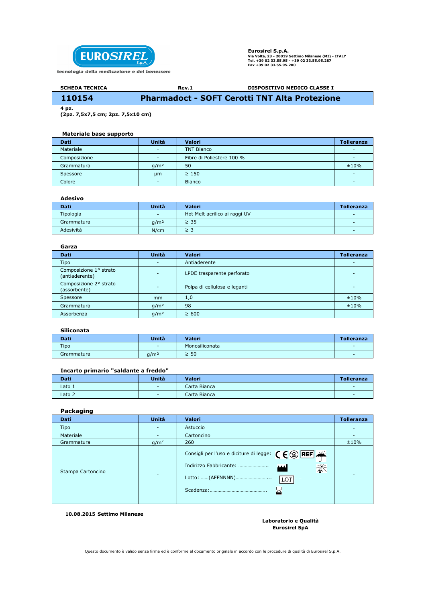

Eurosirel S.p.A. Via Volta, 23 - 20019 Settimo Milanese (MI) - ITALY Tel. +39 02 33.55.95 - +39 02 33.55.95.287 Fax +39 02 33.55.95.200

#### Rev.1 SCHEDA TECNICA DISPOSITIVO MEDICO CLASSE I 110154 Pharmadoct - SOFT Cerotti TNT Alta Protezione

 $4$  pz.

(2pz. 7,5x7,5 cm; 2pz. 7,5x10 cm)

# Materiale base supporto

| Dati         | Unità                    | Valori                    | Tolleranza |
|--------------|--------------------------|---------------------------|------------|
| Materiale    | $\sim$                   | <b>TNT Bianco</b>         |            |
| Composizione | $\sim$                   | Fibre di Poliestere 100 % |            |
| Grammatura   | q/m <sup>2</sup>         | 50                        | ±10%       |
| Spessore     | um                       | $\geq 150$                | -          |
| Colore       | $\overline{\phantom{0}}$ | <b>Bianco</b>             |            |

### Adesivo

| <b>Dati</b> | Unità            | Valori                        | <b>Tolleranza</b> |
|-------------|------------------|-------------------------------|-------------------|
| Tipologia   | $\sim$           | Hot Melt acrilico ai raggi UV | -                 |
| Grammatura  | q/m <sup>2</sup> | $\geq$ 35                     | -                 |
| Adesività   | N/cm             | ≥ 3                           | -                 |

### Garza

| <b>Unità</b>             | <b>Valori</b>                | <b>Tolleranza</b> |
|--------------------------|------------------------------|-------------------|
| $\overline{\phantom{0}}$ | Antiaderente                 |                   |
| $\overline{\phantom{0}}$ | LPDE trasparente perforato   |                   |
| $\overline{\phantom{0}}$ | Polpa di cellulosa e leganti |                   |
| mm                       | 1,0                          | ±10%              |
| q/m <sup>2</sup>         | 98                           | ±10%              |
| q/m <sup>2</sup>         | $\geq 600$                   |                   |
|                          |                              |                   |

## Siliconata

| Dati        | <b>Unità</b>     | <b>Valori</b>  | <b>Tolleranza</b> |
|-------------|------------------|----------------|-------------------|
| <b>Tipo</b> | $\sim$           | Monosiliconata | $\sim$            |
| Grammatura  | g/m <sup>2</sup> | $\geq 50$      | $\sim$            |

### Incarto primario "saldante a freddo"

| <b>Dati</b>       | <b>Unità</b> | Valori       | <b>Tolleranza</b>        |
|-------------------|--------------|--------------|--------------------------|
| Lato 1            | $\sim$       | Carta Bianca | $\overline{\phantom{a}}$ |
| Lato <sub>2</sub> | $\sim$       | Carta Bianca | $\sim$                   |

# Packaging

| <b>Dati</b>       | Unità                    | Valori                                                                                                                                                  | <b>Tolleranza</b> |
|-------------------|--------------------------|---------------------------------------------------------------------------------------------------------------------------------------------------------|-------------------|
| Tipo              | $\overline{\phantom{a}}$ | Astuccio                                                                                                                                                |                   |
| Materiale         |                          | Cartoncino                                                                                                                                              |                   |
| Grammatura        | g/m <sup>2</sup>         | 260                                                                                                                                                     | ±10%              |
| Stampa Cartoncino | $\overline{\phantom{0}}$ | Consigli per l'uso e diciture di legge: $\zeta \in \mathbb{Q}$ <b>REF</b><br>淡<br>Indirizzo Fabbricante:<br><b>MA</b><br>Lotto: (AFFNNNN)<br> LOT<br>≥≤ |                   |

10.08.2015 Settimo Milanese

#### Laboratorio e Qualità Eurosirel SpA

Questo documento è valido senza firma ed è conforme al documento originale in accordo con le procedure di qualità di Eurosirel S.p.A.